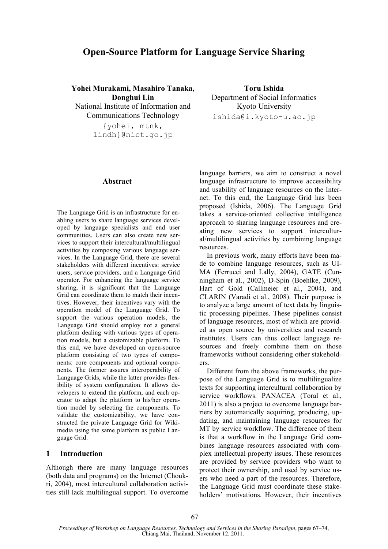# **Open-Source Platform for Language Service Sharing**

**Yohei Murakami, Masahiro Tanaka, Donghui Lin** National Institute of Information and Communications Technology {yohei, mtnk,

lindh}@nict.go.jp

#### **Abstract**

The Language Grid is an infrastructure for enabling users to share language services developed by language specialists and end user communities. Users can also create new services to support their intercultural/multilingual activities by composing various language services. In the Language Grid, there are several stakeholders with different incentives: service users, service providers, and a Language Grid operator. For enhancing the language service sharing, it is significant that the Language Grid can coordinate them to match their incentives. However, their incentives vary with the operation model of the Language Grid. To support the various operation models, the Language Grid should employ not a general platform dealing with various types of operation models, but a customizable platform. To this end, we have developed an open-source platform consisting of two types of components: core components and optional components. The former assures interoperability of Language Grids, while the latter provides flexibility of system configuration. It allows developers to extend the platform, and each operator to adapt the platform to his/her operation model by selecting the components. To validate the customizability, we have constructed the private Language Grid for Wikimedia using the same platform as public Language Grid.

### **1 Introduction**

Although there are many language resources (both data and programs) on the Internet (Choukri, 2004), most intercultural collaboration activities still lack multilingual support. To overcome

**Toru Ishida** Department of Social Informatics Kyoto University ishida@i.kyoto-u.ac.jp

language barriers, we aim to construct a novel language infrastructure to improve accessibility and usability of language resources on the Internet. To this end, the Language Grid has been proposed (Ishida, 2006). The Language Grid takes a service-oriented collective intelligence approach to sharing language resources and creating new services to support intercultural/multilingual activities by combining language resources.

In previous work, many efforts have been made to combine language resources, such as UI-MA (Ferrucci and Lally, 2004), GATE (Cunningham et al., 2002), D-Spin (Boehlke, 2009), Hart of Gold (Callmeier et al., 2004), and CLARIN (Varadi et al., 2008). Their purpose is to analyze a large amount of text data by linguistic processing pipelines. These pipelines consist of language resources, most of which are provided as open source by universities and research institutes. Users can thus collect language resources and freely combine them on those frameworks without considering other stakeholders.

Different from the above frameworks, the purpose of the Language Grid is to multilingualize texts for supporting intercultural collaboration by service workflows. PANACEA (Toral et al., 2011) is also a project to overcome language barriers by automatically acquiring, producing, updating, and maintaining language resources for MT by service workflow. The difference of them is that a workflow in the Language Grid combines language resources associated with complex intellectual property issues. These resources are provided by service providers who want to protect their ownership, and used by service users who need a part of the resources. Therefore, the Language Grid must coordinate these stakeholders' motivations. However, their incentives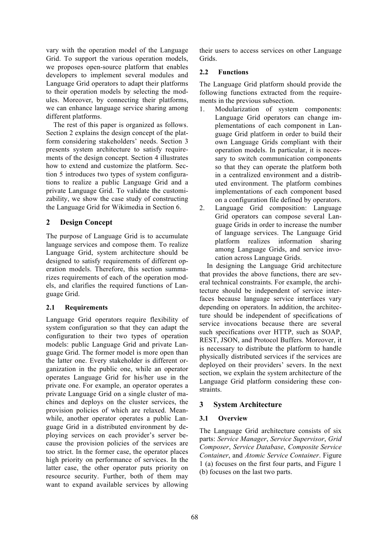vary with the operation model of the Language Grid. To support the various operation models, we proposes open-source platform that enables developers to implement several modules and Language Grid operators to adapt their platforms to their operation models by selecting the modules. Moreover, by connecting their platforms, we can enhance language service sharing among different platforms.

The rest of this paper is organized as follows. Section 2 explains the design concept of the platform considering stakeholders' needs. Section 3 presents system architecture to satisfy requirements of the design concept. Section 4 illustrates how to extend and customize the platform. Section 5 introduces two types of system configurations to realize a public Language Grid and a private Language Grid. To validate the customizability, we show the case study of constructing the Language Grid for Wikimedia in Section 6.

## **2 Design Concept**

The purpose of Language Grid is to accumulate language services and compose them. To realize Language Grid, system architecture should be designed to satisfy requirements of different operation models. Therefore, this section summarizes requirements of each of the operation models, and clarifies the required functions of Language Grid.

## **2.1 Requirements**

Language Grid operators require flexibility of system configuration so that they can adapt the configuration to their two types of operation models: public Language Grid and private Language Grid. The former model is more open than the latter one. Every stakeholder is different organization in the public one, while an operator operates Language Grid for his/her use in the private one. For example, an operator operates a private Language Grid on a single cluster of machines and deploys on the cluster services, the provision policies of which are relaxed. Meanwhile, another operator operates a public Language Grid in a distributed environment by deploying services on each provider's server because the provision policies of the services are too strict. In the former case, the operator places high priority on performance of services. In the latter case, the other operator puts priority on resource security. Further, both of them may want to expand available services by allowing their users to access services on other Language Grids.

## **2.2 Functions**

The Language Grid platform should provide the following functions extracted from the requirements in the previous subsection.

- 1. Modularization of system components: Language Grid operators can change implementations of each component in Language Grid platform in order to build their own Language Grids compliant with their operation models. In particular, it is necessary to switch communication components so that they can operate the platform both in a centralized environment and a distributed environment. The platform combines implementations of each component based on a configuration file defined by operators.
- 2. Language Grid composition: Language Grid operators can compose several Language Grids in order to increase the number of language services. The Language Grid platform realizes information sharing among Language Grids, and service invocation across Language Grids.

In designing the Language Grid architecture that provides the above functions, there are several technical constraints. For example, the architecture should be independent of service interfaces because language service interfaces vary depending on operators. In addition, the architecture should be independent of specifications of service invocations because there are several such specifications over HTTP, such as SOAP, REST, JSON, and Protocol Buffers. Moreover, it is necessary to distribute the platform to handle physically distributed services if the services are deployed on their providers' severs. In the next section, we explain the system architecture of the Language Grid platform considering these constraints.

# **3 System Architecture**

## **3.1 Overview**

The Language Grid architecture consists of six parts: *Service Manager*, *Service Supervisor*, *Grid Composer*, *Service Database*, *Composite Service Container*, and *Atomic Service Container*. Figure 1 (a) focuses on the first four parts, and Figure 1 (b) focuses on the last two parts.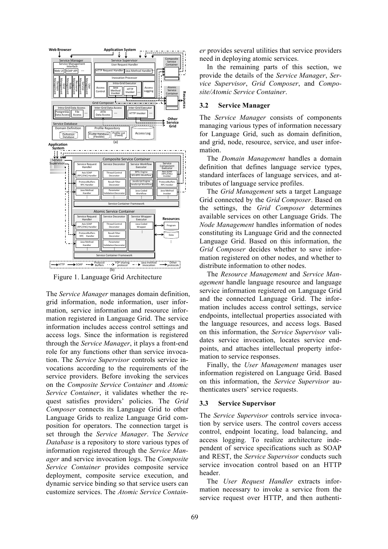

Figure 1. Language Grid Architecture

The *Service Manager* manages domain definition, grid information, node information, user information, service information and resource information registered in Language Grid. The service information includes access control settings and access logs. Since the information is registered through the *Service Manager*, it plays a front-end role for any functions other than service invocation. The *Service Supervisor* controls service invocations according to the requirements of the service providers. Before invoking the services on the *Composite Service Container* and *Atomic Service Container*, it validates whether the request satisfies providers' policies. The *Grid Composer* connects its Language Grid to other Language Grids to realize Language Grid composition for operators. The connection target is set through the *Service Manager*. The *Service Database* is a repository to store various types of information registered through the *Service Manager* and service invocation logs. The *Composite Service Container* provides composite service deployment, composite service execution, and dynamic service binding so that service users can customize services. The *Atomic Service Contain-* *er* provides several utilities that service providers need in deploying atomic services.

In the remaining parts of this section, we provide the details of the *Service Manager*, *Service Supervisor*, *Grid Composer*, and *Composite/Atomic Service Container*.

### **3.2 Service Manager**

The *Service Manager* consists of components managing various types of information necessary for Language Grid, such as domain definition, and grid, node, resource, service, and user information.

The *Domain Management* handles a domain definition that defines language service types, standard interfaces of language services, and attributes of language service profiles.

The *Grid Management* sets a target Language Grid connected by the *Grid Composer*. Based on the settings, the *Grid Composer* determines available services on other Language Grids. The *Node Management* handles information of nodes constituting its Language Grid and the connected Language Grid. Based on this information, the *Grid Composer* decides whether to save information registered on other nodes, and whether to distribute information to other nodes.

The *Resource Management* and *Service Management* handle language resource and language service information registered on Language Grid and the connected Language Grid. The information includes access control settings, service endpoints, intellectual properties associated with the language resources, and access logs. Based on this information, the *Service Supervisor* validates service invocation, locates service endpoints, and attaches intellectual property information to service responses.

Finally, the *User Management* manages user information registered on Language Grid. Based on this information, the *Service Supervisor* authenticates users' service requests.

## **3.3 Service Supervisor**

The *Service Supervisor* controls service invocation by service users. The control covers access control, endpoint locating, load balancing, and access logging. To realize architecture independent of service specifications such as SOAP and REST, the *Service Supervisor* conducts such service invocation control based on an HTTP header.

The *User Request Handler* extracts information necessary to invoke a service from the service request over HTTP, and then authenti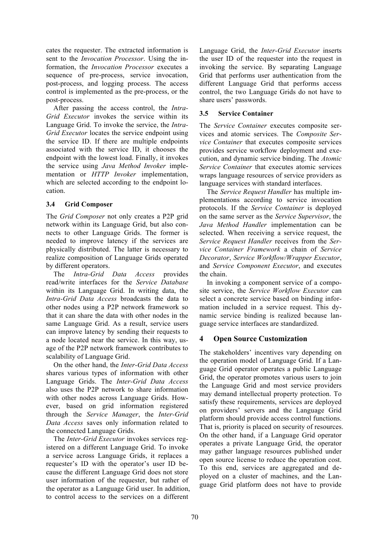cates the requester. The extracted information is sent to the *Invocation Processor*. Using the information, the *Invocation Processor* executes a sequence of pre-process, service invocation, post-process, and logging process. The access control is implemented as the pre-process, or the post-process.

After passing the access control, the *Intra-Grid Executor* invokes the service within its Language Grid. To invoke the service, the *Intra-Grid Executor* locates the service endpoint using the service ID. If there are multiple endpoints associated with the service ID, it chooses the endpoint with the lowest load. Finally, it invokes the service using *Java Method Invoker* implementation or *HTTP Invoker* implementation, which are selected according to the endpoint location.

## **3.4 Grid Composer**

The *Grid Composer* not only creates a P2P grid network within its Language Grid, but also connects to other Language Grids. The former is needed to improve latency if the services are physically distributed. The latter is necessary to realize composition of Language Grids operated by different operators.

The *Intra-Grid Data Access* provides read/write interfaces for the *Service Database* within its Language Grid. In writing data, the *Intra-Grid Data Access* broadcasts the data to other nodes using a P2P network framework so that it can share the data with other nodes in the same Language Grid. As a result, service users can improve latency by sending their requests to a node located near the service. In this way, usage of the P2P network framework contributes to scalability of Language Grid.

On the other hand, the *Inter-Grid Data Access* shares various types of information with other Language Grids. The *Inter-Grid Data Access* also uses the P2P network to share information with other nodes across Language Grids. However, based on grid information registered through the *Service Manager*, the *Inter-Grid Data Access* saves only information related to the connected Language Grids.

The *Inter-Grid Executor* invokes services registered on a different Language Grid. To invoke a service across Language Grids, it replaces a requester's ID with the operator's user ID because the different Language Grid does not store user information of the requester, but rather of the operator as a Language Grid user. In addition, to control access to the services on a different

Language Grid, the *Inter-Grid Executor* inserts the user ID of the requester into the request in invoking the service. By separating Language Grid that performs user authentication from the different Language Grid that performs access control, the two Language Grids do not have to share users' passwords.

## **3.5 Service Container**

The *Service Container* executes composite services and atomic services. The *Composite Service Container* that executes composite services provides service workflow deployment and execution, and dynamic service binding. The *Atomic Service Container* that executes atomic services wraps language resources of service providers as language services with standard interfaces.

The *Service Request Handler* has multiple implementations according to service invocation protocols. If the *Service Container* is deployed on the same server as the *Service Supervisor*, the *Java Method Handler* implementation can be selected. When receiving a service request, the *Service Request Handler* receives from the *Service Container Framework* a chain of *Service Decorator*, *Service Workflow/Wrapper Executor*, and *Service Component Executor*, and executes the chain.

In invoking a component service of a composite service, the *Service Workflow Executor* can select a concrete service based on binding information included in a service request. This dynamic service binding is realized because language service interfaces are standardized.

# **4 Open Source Customization**

The stakeholders' incentives vary depending on the operation model of Language Grid. If a Language Grid operator operates a public Language Grid, the operator promotes various users to join the Language Grid and most service providers may demand intellectual property protection. To satisfy these requirements, services are deployed on providers' servers and the Language Grid platform should provide access control functions. That is, priority is placed on security of resources. On the other hand, if a Language Grid operator operates a private Language Grid, the operator may gather language resources published under open source license to reduce the operation cost. To this end, services are aggregated and deployed on a cluster of machines, and the Language Grid platform does not have to provide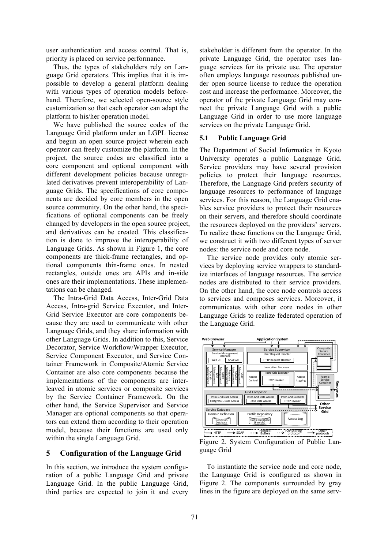user authentication and access control. That is, priority is placed on service performance.

Thus, the types of stakeholders rely on Language Grid operators. This implies that it is impossible to develop a general platform dealing with various types of operation models beforehand. Therefore, we selected open-source style customization so that each operator can adapt the platform to his/her operation model.

We have published the source codes of the Language Grid platform under an LGPL license and begun an open source project wherein each operator can freely customize the platform. In the project, the source codes are classified into a core component and optional component with different development policies because unregulated derivatives prevent interoperability of Language Grids. The specifications of core components are decided by core members in the open source community. On the other hand, the specifications of optional components can be freely changed by developers in the open source project, and derivatives can be created. This classification is done to improve the interoperability of Language Grids. As shown in Figure 1, the core components are thick-frame rectangles, and optional components thin-frame ones. In nested rectangles, outside ones are APIs and in-side ones are their implementations. These implementations can be changed.

The Intra-Grid Data Access, Inter-Grid Data Access, Intra-grid Service Executor, and Inter-Grid Service Executor are core components because they are used to communicate with other Language Grids, and they share information with other Language Grids. In addition to this, Service Decorator, Service Workflow/Wrapper Executor, Service Component Executor, and Service Container Framework in Composite/Atomic Service Container are also core components because the implementations of the components are interleaved in atomic services or composite services by the Service Container Framework. On the other hand, the Service Supervisor and Service Manager are optional components so that operators can extend them according to their operation model, because their functions are used only within the single Language Grid.

## **5 Configuration of the Language Grid**

In this section, we introduce the system configuration of a public Language Grid and private Language Grid. In the public Language Grid, third parties are expected to join it and every stakeholder is different from the operator. In the private Language Grid, the operator uses language services for its private use. The operator often employs language resources published under open source license to reduce the operation cost and increase the performance. Moreover, the operator of the private Language Grid may connect the private Language Grid with a public Language Grid in order to use more language services on the private Language Grid.

### **5.1 Public Language Grid**

The Department of Social Informatics in Kyoto University operates a public Language Grid. Service providers may have several provision policies to protect their language resources. Therefore, the Language Grid prefers security of language resources to performance of language services. For this reason, the Language Grid enables service providers to protect their resources on their servers, and therefore should coordinate the resources deployed on the providers' servers. To realize these functions on the Language Grid, we construct it with two different types of server nodes: the service node and core node.

The service node provides only atomic services by deploying service wrappers to standardize interfaces of language resources. The service nodes are distributed to their service providers. On the other hand, the core node controls access to services and composes services. Moreover, it communicates with other core nodes in other Language Grids to realize federated operation of the Language Grid.



Figure 2. System Configuration of Public Language Grid

To instantiate the service node and core node, the Language Grid is configured as shown in Figure 2. The components surrounded by gray lines in the figure are deployed on the same serv-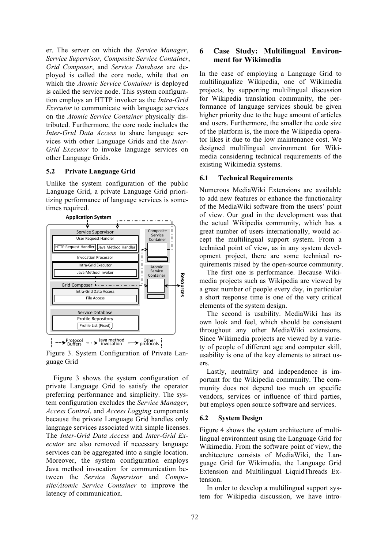er. The server on which the *Service Manager*, *Service Supervisor*, *Composite Service Container*, *Grid Composer*, and *Service Database* are deployed is called the core node, while that on which the *Atomic Service Container* is deployed is called the service node. This system configuration employs an HTTP invoker as the *Intra-Grid Executor* to communicate with language services on the *Atomic Service Container* physically distributed. Furthermore, the core node includes the *Inter-Grid Data Access* to share language services with other Language Grids and the *Inter-Grid Executor* to invoke language services on other Language Grids.

#### **5.2 Private Language Grid**

Unlike the system configuration of the public Language Grid, a private Language Grid prioritizing performance of language services is sometimes required.



Figure 3. System Configuration of Private Language Grid

Figure 3 shows the system configuration of private Language Grid to satisfy the operator preferring performance and simplicity. The system configuration excludes the *Service Manager*, *Access Control*, and *Access Logging* components because the private Language Grid handles only language services associated with simple licenses. The *Inter-Grid Data Access* and *Inter-Grid Executor* are also removed if necessary language services can be aggregated into a single location. Moreover, the system configuration employs Java method invocation for communication between the *Service Supervisor* and *Composite/Atomic Service Container* to improve the latency of communication.

## **6 Case Study: Multilingual Environment for Wikimedia**

In the case of employing a Language Grid to multilingualize Wikipedia, one of Wikimedia projects, by supporting multilingual discussion for Wikipedia translation community, the performance of language services should be given higher priority due to the huge amount of articles and users. Furthermore, the smaller the code size of the platform is, the more the Wikipedia operator likes it due to the low maintenance cost. We designed multilingual environment for Wikimedia considering technical requirements of the existing Wikimedia systems.

### **6.1 Technical Requirements**

Numerous MediaWiki Extensions are available to add new features or enhance the functionality of the MediaWiki software from the users' point of view. Our goal in the development was that the actual Wikipedia community, which has a great number of users internationally, would accept the multilingual support system. From a technical point of view, as in any system development project, there are some technical requirements raised by the open-source community.

The first one is performance. Because Wikimedia projects such as Wikipedia are viewed by a great number of people every day, in particular a short response time is one of the very critical elements of the system design.

The second is usability. MediaWiki has its own look and feel, which should be consistent throughout any other MediaWiki extensions. Since Wikimedia projects are viewed by a variety of people of different age and computer skill, usability is one of the key elements to attract users.

Lastly, neutrality and independence is important for the Wikipedia community. The community does not depend too much on specific vendors, services or influence of third parties, but employs open source software and services.

### **6.2 System Design**

Figure 4 shows the system architecture of multilingual environment using the Language Grid for Wikimedia. From the software point of view, the architecture consists of MediaWiki, the Language Grid for Wikimedia, the Language Grid Extension and Multilingual LiquidThreads Extension.

In order to develop a multilingual support system for Wikipedia discussion, we have intro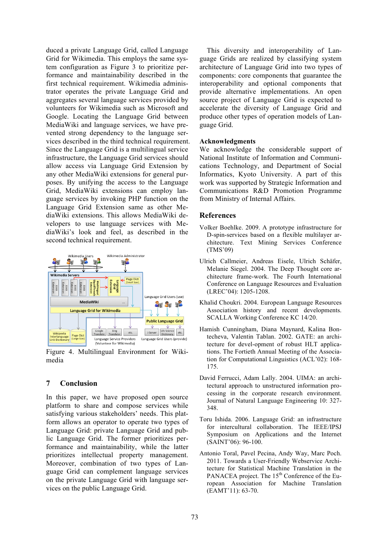duced a private Language Grid, called Language Grid for Wikimedia. This employs the same system configuration as Figure 3 to prioritize performance and maintainability described in the first technical requirement. Wikimedia administrator operates the private Language Grid and aggregates several language services provided by volunteers for Wikimedia such as Microsoft and Google. Locating the Language Grid between MediaWiki and language services, we have prevented strong dependency to the language services described in the third technical requirement. Since the Language Grid is a multilingual service infrastructure, the Language Grid services should allow access via Language Grid Extension by any other MediaWiki extensions for general purposes. By unifying the access to the Language Grid, MediaWiki extensions can employ language services by invoking PHP function on the Language Grid Extension same as other MediaWiki extensions. This allows MediaWiki developers to use language services with MediaWiki's look and feel, as described in the second technical requirement.



Figure 4. Multilingual Environment for Wikimedia

### **7 Conclusion**

In this paper, we have proposed open source platform to share and compose services while satisfying various stakeholders' needs. This platform allows an operator to operate two types of Language Grid: private Language Grid and public Language Grid. The former prioritizes performance and maintainability, while the latter prioritizes intellectual property management. Moreover, combination of two types of Language Grid can complement language services on the private Language Grid with language services on the public Language Grid.

This diversity and interoperability of Language Grids are realized by classifying system architecture of Language Grid into two types of components: core components that guarantee the interoperability and optional components that provide alternative implementations. An open source project of Language Grid is expected to accelerate the diversity of Language Grid and produce other types of operation models of Language Grid.

### **Acknowledgments**

We acknowledge the considerable support of National Institute of Information and Communications Technology, and Department of Social Informatics, Kyoto University. A part of this work was supported by Strategic Information and Communications R&D Promotion Programme from Ministry of Internal Affairs.

### **References**

- Volker Boehlke. 2009. A prototype infrastructure for D-spin-services based on a flexible multilayer architecture. Text Mining Services Conference (TMS'09)
- Ulrich Callmeier, Andreas Eisele, Ulrich Schäfer, Melanie Siegel. 2004. The Deep Thought core architecture frame-work. The Fourth International Conference on Language Resources and Evaluation (LREC'04): 1205-1208.
- Khalid Choukri. 2004. European Language Resources Association history and recent developments. SCALLA Working Conference KC 14/20.
- Hamish Cunningham, Diana Maynard, Kalina Bontecheva, Valentin Tablan. 2002. GATE: an architecture for devel-opment of robust HLT applications. The Fortieth Annual Meeting of the Association for Computational Linguistics (ACL'02): 168- 175.
- David Ferrucci, Adam Lally. 2004. UIMA: an architectural approach to unstructured information processing in the corporate research environment. Journal of Natural Language Engineering 10: 327- 348.
- Toru Ishida. 2006. Language Grid: an infrastructure for intercultural collaboration. The IEEE/IPSJ Symposium on Applications and the Internet (SAINT'06): 96-100.
- Antonio Toral, Pavel Pecina, Andy Way, Marc Poch. 2011. Towards a User-Friendly Webservice Architecture for Statistical Machine Translation in the PANACEA project. The 15<sup>th</sup> Conference of the European Association for Machine Translation (EAMT'11): 63-70.